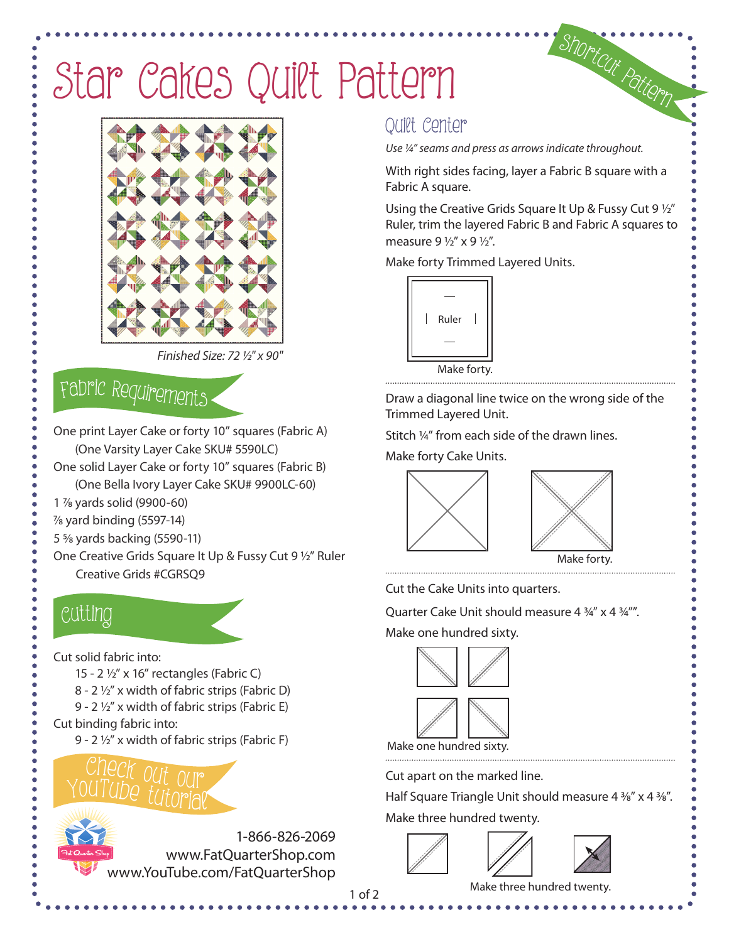## Star Cakes Quilt Pattern



Finished Size: 72 ½" x 90"

## <sup>F</sup>abri<sup>c</sup> <sup>R</sup><sup>e</sup>quirement<sup>s</sup>

One print Layer Cake or forty 10" squares (Fabric A) (One Varsity Layer Cake SKU# 5590LC)

- One solid Layer Cake or forty 10" squares (Fabric B) (One Bella Ivory Layer Cake SKU# 9900LC-60)
- 1 7/8 yards solid (9900-60)
- $\%$  yard binding (5597-14)
- 5 5/8 yards backing (5590-11)
- One Creative Grids Square It Up & Fussy Cut 9 1/2" Ruler Creative Grids #CGRSQ9

### Cutti<sup>n</sup>g

Cut solid fabric into:

- 15 2 1/2" x 16" rectangles (Fabric C)
- 8 2 1/2" x width of fabric strips (Fabric D)
- 9 2 1/2" x width of fabric strips (Fabric E)
- Cut binding fabric into:
	- 9 2 1/2" x width of fabric strips (Fabric F)

www.YouTube.com/FatQuarterShop



Quilt Center

Use ¼" seams and press as arrows indicate throughout.

With right sides facing, layer a Fabric B square with a Fabric A square.

<sup>S</sup>hortcu<sup>t</sup> <sup>P</sup>atter<sup>n</sup>

Using the Creative Grids Square It Up & Fussy Cut 9  $1/2$ " Ruler, trim the layered Fabric B and Fabric A squares to measure  $9\frac{1}{2}$ " x  $9\frac{1}{2}$ ".

Make forty Trimmed Layered Units.



Draw a diagonal line twice on the wrong side of the Trimmed Layered Unit.

Stitch ¼" from each side of the drawn lines.

Make forty Cake Units.





Make forty.

Cut the Cake Units into quarters.

Quarter Cake Unit should measure 4 3/4" x 4 3/4"".

Make one hundred sixty.



Make one hundred sixty.

Cut apart on the marked line.

Half Square Triangle Unit should measure 4 %" x 4 %".

Make three hundred twenty.





Make three hundred twenty.

1 of 2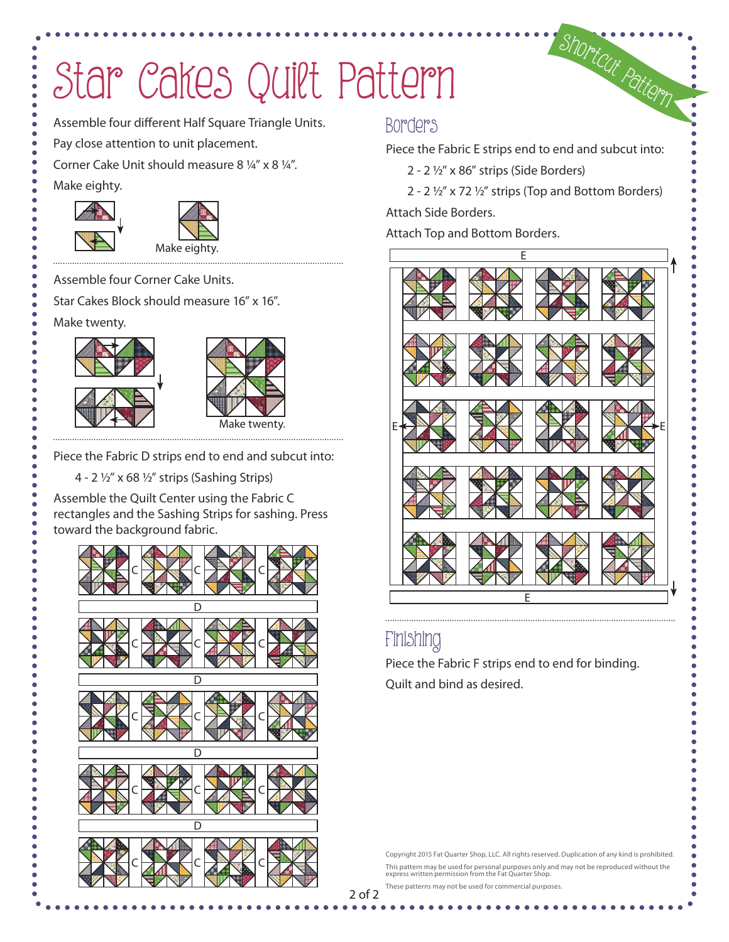# Star Cakes Quilt Pattern

Assemble four different Half Square Triangle Units.

Pay close attention to unit placement.

Corner Cake Unit should measure 8 ¼" x 8 ¼".

Make eighty.





Assemble four Corner Cake Units.

Star Cakes Block should measure 16" x 16".

Make twenty.





Piece the Fabric D strips end to end and subcut into:

4 - 2 1/2" x 68 1/2" strips (Sashing Strips)

Assemble the Quilt Center using the Fabric C rectangles and the Sashing Strips for sashing. Press toward the background fabric.



### Borders

Piece the Fabric E strips end to end and subcut into:

<sup>S</sup>hortcu<sup>t</sup> <sup>P</sup>atter<sup>n</sup>

2 - 2 1/2" x 86" strips (Side Borders)

2 - 2  $1/2$ " x 72  $1/2$ " strips (Top and Bottom Borders)

Attach Side Borders.

Attach Top and Bottom Borders.



### Finishing

Piece the Fabric F strips end to end for binding. Quilt and bind as desired.

Copyright 2015 Fat Quarter Shop, LLC. All rights reserved. Duplication of any kind is prohibited. This pattern may be used for personal purposes only and may not be reproduced without the express written permission from the Fat Quarter Shop.

These patterns may not be used for commercial purposes.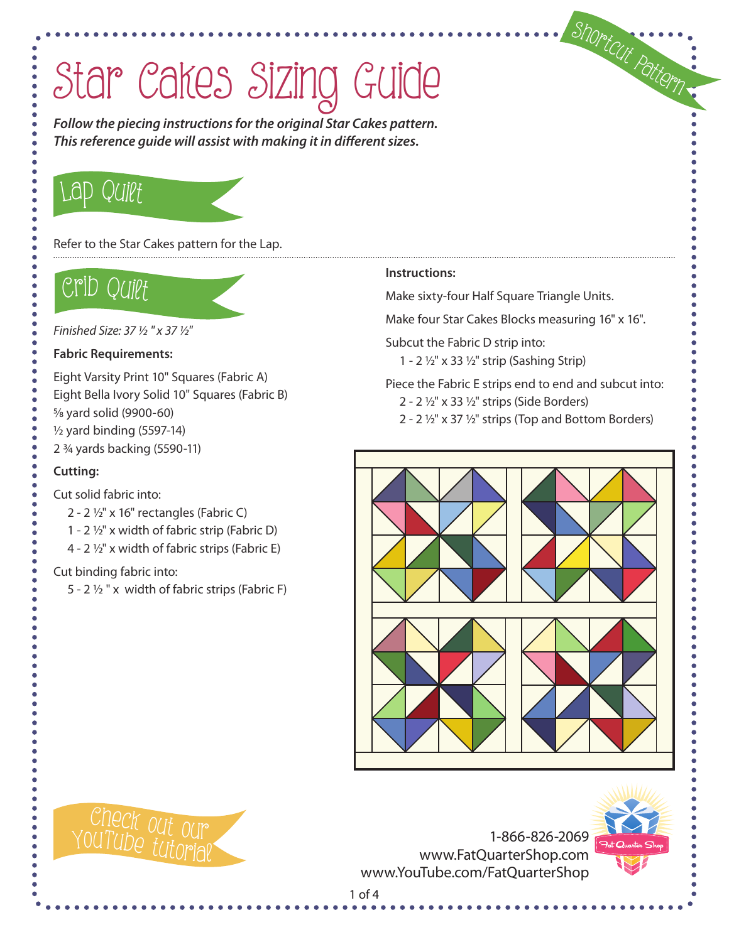**Follow the piecing instructions for the original Star Cakes pattern. This reference guide will assist with making it in different sizes.**

## Lap Quilt

Refer to the Star Cakes pattern for the Lap.

## Crib Quilt

Finished Size: 37 ½ " x 37 ½"

#### **Fabric Requirements:**

Eight Varsity Print 10" Squares (Fabric A) Eight Bella Ivory Solid 10" Squares (Fabric B) 5/8 yard solid (9900-60) 1/2 yard binding (5597-14)

2 3/4 yards backing (5590-11)

#### **Cutting:**

#### Cut solid fabric into:

- 2 2  $\frac{1}{2}$ " x 16" rectangles (Fabric C)
- 1 2  $\frac{1}{2}$ " x width of fabric strip (Fabric D)
- 4 2 1/2" x width of fabric strips (Fabric E)

#### Cut binding fabric into:

5 - 2  $\frac{1}{2}$  " x width of fabric strips (Fabric F)

#### **Instructions:**

Make sixty-four Half Square Triangle Units.

Make four Star Cakes Blocks measuring 16" x 16".

Subcut the Fabric D strip into:

1 - 2  $1/2$ " x 33  $1/2$ " strip (Sashing Strip)

Piece the Fabric E strips end to end and subcut into:

- 2 2  $\frac{1}{2}$ " x 33  $\frac{1}{2}$ " strips (Side Borders)
- 2 2  $1/2$ " x 37  $1/2$ " strips (Top and Bottom Borders)





1-866-826-2069 www.FatQuarterShop.com www.YouTube.com/FatQuarterShop



<sup>S</sup>hortcu<sup>t</sup> <sup>P</sup>atter<sup>n</sup>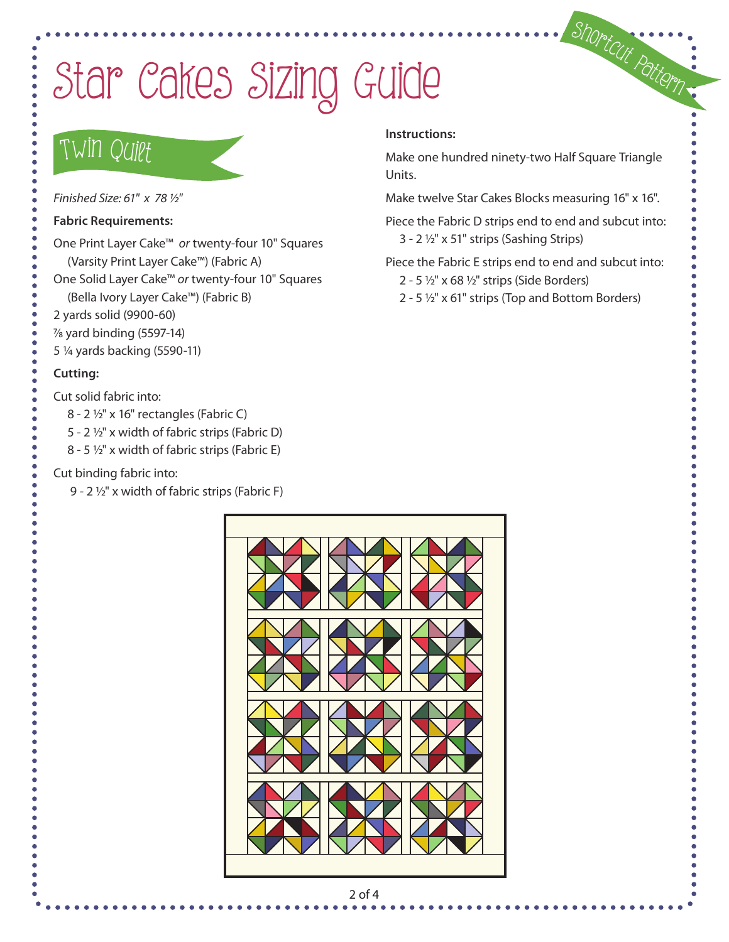### TWIN Quiet

Finished Size: 61" x 78 ½"

**Fabric Requirements:**

One Print Layer Cake™ or twenty-four 10" Squares (Varsity Print Layer Cake™) (Fabric A)

One Solid Layer Cake™ or twenty-four 10" Squares

(Bella Ivory Layer Cake™) (Fabric B)

2 yards solid (9900-60)

7/8 yard binding (5597-14)

5 1/4 yards backing (5590-11)

#### **Cutting:**

Cut solid fabric into:

8 - 2 1/2" x 16" rectangles (Fabric C)

5 - 2 1/2" x width of fabric strips (Fabric D)

8 - 5  $\frac{1}{2}$ " x width of fabric strips (Fabric E)

#### Cut binding fabric into:

9 - 2 1/2" x width of fabric strips (Fabric F)

#### **Instructions:**

Make one hundred ninety-two Half Square Triangle Units.

Shortcut Pattern

Make twelve Star Cakes Blocks measuring 16" x 16".

Piece the Fabric D strips end to end and subcut into:  $3 - 2 \frac{1}{2}$ " x 51" strips (Sashing Strips)

Piece the Fabric E strips end to end and subcut into:

2 - 5  $\frac{1}{2}$ " x 68  $\frac{1}{2}$ " strips (Side Borders)

2 - 5  $1/2$ " x 61" strips (Top and Bottom Borders)



#### 2 of 4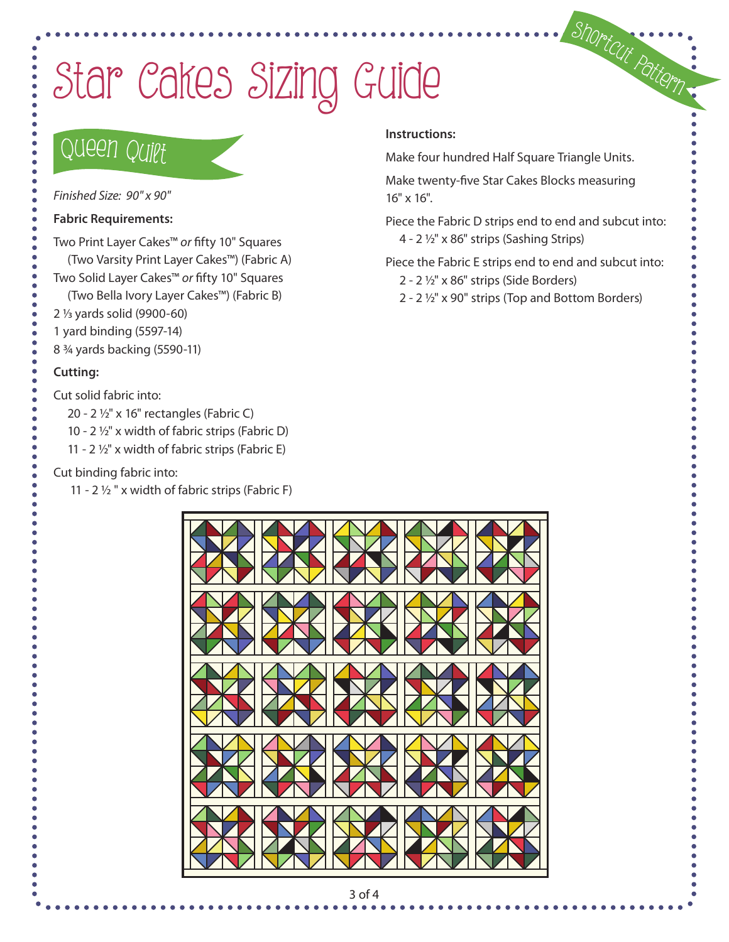### Queen Quilt

Finished Size: 90" x 90"

#### **Fabric Requirements:**

Two Print Layer Cakes™ or fifty 10" Squares

- (Two Varsity Print Layer Cakes™) (Fabric A)
- Two Solid Layer Cakes™ or fifty 10" Squares
- (Two Bella Ivory Layer Cakes™) (Fabric B)
- 2 1/3 yards solid (9900-60)
- 1 yard binding (5597-14)
- 8 3/4 yards backing (5590-11)

#### **Cutting:**

Cut solid fabric into:

- 20 2 1/2" x 16" rectangles (Fabric C)
- 10 2 1/2" x width of fabric strips (Fabric D)
- 11 2  $\frac{1}{2}$ " x width of fabric strips (Fabric E)

#### Cut binding fabric into:

11 - 2 $\frac{1}{2}$  " x width of fabric strips (Fabric F)

#### **Instructions:**

Make four hundred Half Square Triangle Units.

Make twenty-five Star Cakes Blocks measuring 16" x 16".

Piece the Fabric D strips end to end and subcut into: 4 - 2 1/2" x 86" strips (Sashing Strips)

<sup>S</sup>hortcu<sup>t</sup> <sup>P</sup>atter<sup>n</sup>

Piece the Fabric E strips end to end and subcut into:

- 2 2 1/2" x 86" strips (Side Borders)
- 2 2 1/2" x 90" strips (Top and Bottom Borders)